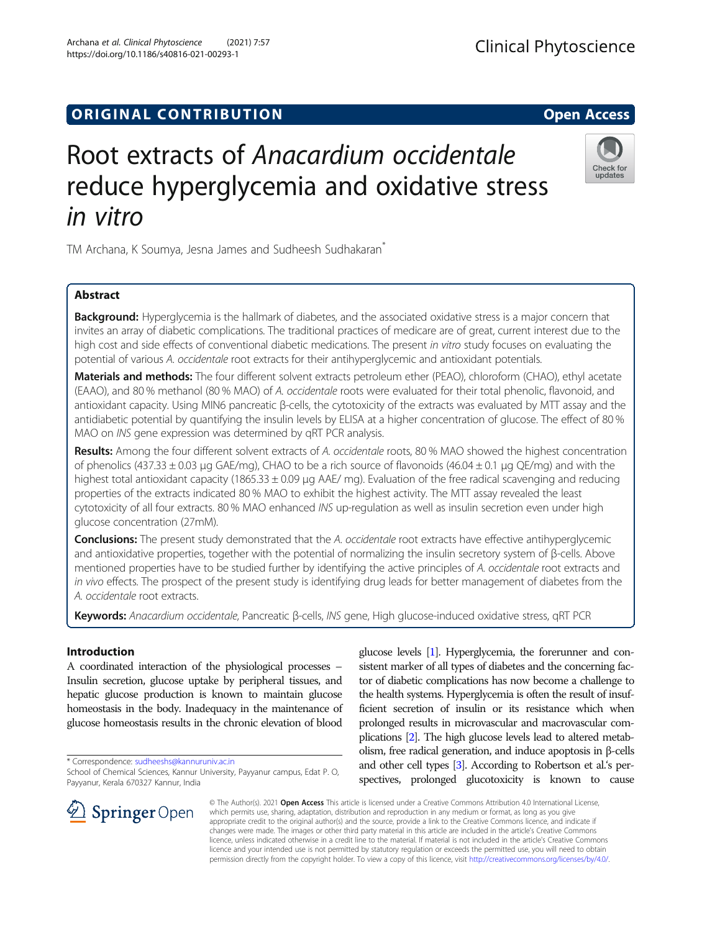## **ORIGINAL CONTRIBUTION CONTRIBUTION**

# Root extracts of Anacardium occidentale reduce hyperglycemia and oxidative stress in vitro

TM Archana, K Soumya, Jesna James and Sudheesh Sudhakaran<sup>®</sup>

## Abstract

Background: Hyperglycemia is the hallmark of diabetes, and the associated oxidative stress is a major concern that invites an array of diabetic complications. The traditional practices of medicare are of great, current interest due to the high cost and side effects of conventional diabetic medications. The present in vitro study focuses on evaluating the potential of various A. occidentale root extracts for their antihyperglycemic and antioxidant potentials.

Materials and methods: The four different solvent extracts petroleum ether (PEAO), chloroform (CHAO), ethyl acetate (EAAO), and 80 % methanol (80 % MAO) of A. occidentale roots were evaluated for their total phenolic, flavonoid, and antioxidant capacity. Using MIN6 pancreatic β-cells, the cytotoxicity of the extracts was evaluated by MTT assay and the antidiabetic potential by quantifying the insulin levels by ELISA at a higher concentration of glucose. The effect of 80 % MAO on INS gene expression was determined by qRT PCR analysis.

Results: Among the four different solvent extracts of A. occidentale roots, 80 % MAO showed the highest concentration of phenolics (437.33  $\pm$  0.03 µg GAE/mg), CHAO to be a rich source of flavonoids (46.04  $\pm$  0.1 µg QE/mg) and with the highest total antioxidant capacity (1865.33  $\pm$  0.09 µg AAE/ mg). Evaluation of the free radical scavenging and reducing properties of the extracts indicated 80 % MAO to exhibit the highest activity. The MTT assay revealed the least cytotoxicity of all four extracts. 80 % MAO enhanced INS up-regulation as well as insulin secretion even under high glucose concentration (27mM).

Conclusions: The present study demonstrated that the A. occidentale root extracts have effective antihyperglycemic and antioxidative properties, together with the potential of normalizing the insulin secretory system of β-cells. Above mentioned properties have to be studied further by identifying the active principles of A. occidentale root extracts and in vivo effects. The prospect of the present study is identifying drug leads for better management of diabetes from the A. occidentale root extracts.

Keywords: Anacardium occidentale, Pancreatic β-cells, INS gene, High glucose-induced oxidative stress, qRT PCR

## Introduction

A coordinated interaction of the physiological processes – Insulin secretion, glucose uptake by peripheral tissues, and hepatic glucose production is known to maintain glucose homeostasis in the body. Inadequacy in the maintenance of glucose homeostasis results in the chronic elevation of blood

\* Correspondence: [sudheeshs@kannuruniv.ac.in](mailto:sudheeshs@kannuruniv.ac.in)

School of Chemical Sciences, Kannur University, Payyanur campus, Edat P. O, Payyanur, Kerala 670327 Kannur, India

glucose levels [[1](#page-7-0)]. Hyperglycemia, the forerunner and consistent marker of all types of diabetes and the concerning factor of diabetic complications has now become a challenge to the health systems. Hyperglycemia is often the result of insufficient secretion of insulin or its resistance which when prolonged results in microvascular and macrovascular complications [\[2\]](#page-7-0). The high glucose levels lead to altered metabolism, free radical generation, and induce apoptosis in β-cells and other cell types [\[3\]](#page-7-0). According to Robertson et al.'s perspectives, prolonged glucotoxicity is known to cause

© The Author(s). 2021 Open Access This article is licensed under a Creative Commons Attribution 4.0 International License, which permits use, sharing, adaptation, distribution and reproduction in any medium or format, as long as you give appropriate credit to the original author(s) and the source, provide a link to the Creative Commons licence, and indicate if changes were made. The images or other third party material in this article are included in the article's Creative Commons licence, unless indicated otherwise in a credit line to the material. If material is not included in the article's Creative Commons licence and your intended use is not permitted by statutory regulation or exceeds the permitted use, you will need to obtain permission directly from the copyright holder. To view a copy of this licence, visit <http://creativecommons.org/licenses/by/4.0/>.

SpringerOpen



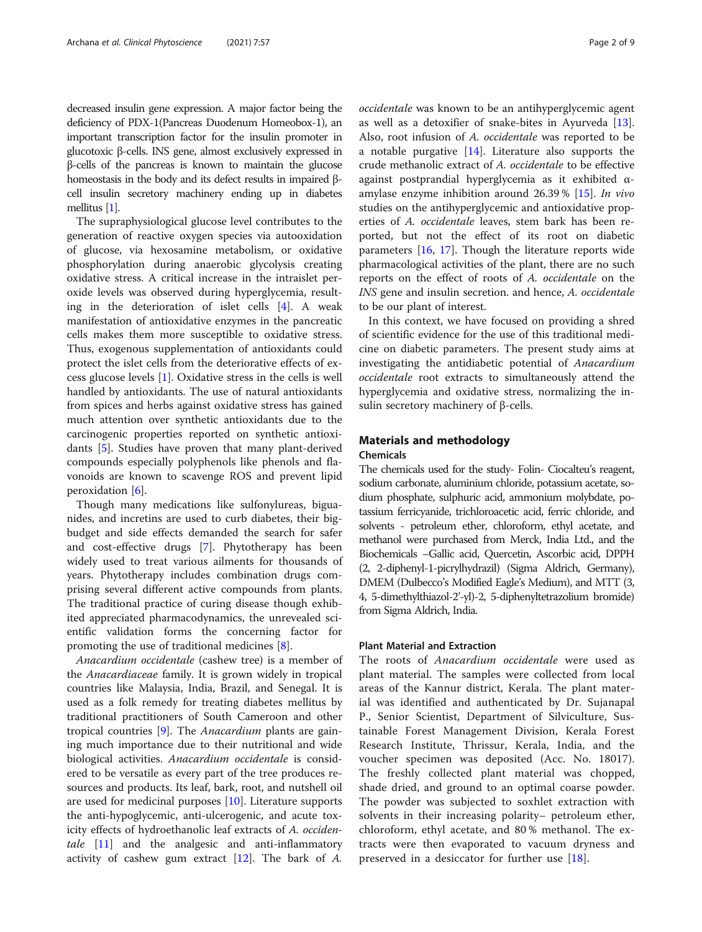decreased insulin gene expression. A major factor being the deficiency of PDX-1(Pancreas Duodenum Homeobox-1), an important transcription factor for the insulin promoter in glucotoxic β-cells. INS gene, almost exclusively expressed in β-cells of the pancreas is known to maintain the glucose homeostasis in the body and its defect results in impaired βcell insulin secretory machinery ending up in diabetes mellitus [\[1\]](#page-7-0).

The supraphysiological glucose level contributes to the generation of reactive oxygen species via autooxidation of glucose, via hexosamine metabolism, or oxidative phosphorylation during anaerobic glycolysis creating oxidative stress. A critical increase in the intraislet peroxide levels was observed during hyperglycemia, resulting in the deterioration of islet cells [[4](#page-7-0)]. A weak manifestation of antioxidative enzymes in the pancreatic cells makes them more susceptible to oxidative stress. Thus, exogenous supplementation of antioxidants could protect the islet cells from the deteriorative effects of excess glucose levels [\[1](#page-7-0)]. Oxidative stress in the cells is well handled by antioxidants. The use of natural antioxidants from spices and herbs against oxidative stress has gained much attention over synthetic antioxidants due to the carcinogenic properties reported on synthetic antioxidants [\[5\]](#page-7-0). Studies have proven that many plant-derived compounds especially polyphenols like phenols and flavonoids are known to scavenge ROS and prevent lipid peroxidation [\[6](#page-7-0)].

Though many medications like sulfonylureas, biguanides, and incretins are used to curb diabetes, their bigbudget and side effects demanded the search for safer and cost-effective drugs [\[7](#page-7-0)]. Phytotherapy has been widely used to treat various ailments for thousands of years. Phytotherapy includes combination drugs comprising several different active compounds from plants. The traditional practice of curing disease though exhibited appreciated pharmacodynamics, the unrevealed scientific validation forms the concerning factor for promoting the use of traditional medicines [\[8](#page-7-0)].

Anacardium occidentale (cashew tree) is a member of the Anacardiaceae family. It is grown widely in tropical countries like Malaysia, India, Brazil, and Senegal. It is used as a folk remedy for treating diabetes mellitus by traditional practitioners of South Cameroon and other tropical countries [\[9](#page-7-0)]. The Anacardium plants are gaining much importance due to their nutritional and wide biological activities. Anacardium occidentale is considered to be versatile as every part of the tree produces resources and products. Its leaf, bark, root, and nutshell oil are used for medicinal purposes [[10\]](#page-7-0). Literature supports the anti-hypoglycemic, anti-ulcerogenic, and acute toxicity effects of hydroethanolic leaf extracts of A. occiden-tale [\[11](#page-7-0)] and the analgesic and anti-inflammatory activity of cashew gum extract  $[12]$  $[12]$ . The bark of A.

occidentale was known to be an antihyperglycemic agent as well as a detoxifier of snake-bites in Ayurveda [\[13](#page-7-0)]. Also, root infusion of A. occidentale was reported to be a notable purgative [[14\]](#page-7-0). Literature also supports the crude methanolic extract of A. occidentale to be effective against postprandial hyperglycemia as it exhibited αamylase enzyme inhibition around 26.39 % [[15\]](#page-7-0). In vivo studies on the antihyperglycemic and antioxidative properties of A. occidentale leaves, stem bark has been reported, but not the effect of its root on diabetic parameters [\[16,](#page-7-0) [17\]](#page-8-0). Though the literature reports wide pharmacological activities of the plant, there are no such reports on the effect of roots of A. occidentale on the INS gene and insulin secretion. and hence, A. occidentale to be our plant of interest.

In this context, we have focused on providing a shred of scientific evidence for the use of this traditional medicine on diabetic parameters. The present study aims at investigating the antidiabetic potential of Anacardium occidentale root extracts to simultaneously attend the hyperglycemia and oxidative stress, normalizing the insulin secretory machinery of β-cells.

### Materials and methodology

## Chemicals

The chemicals used for the study- Folin- Ciocalteu's reagent, sodium carbonate, aluminium chloride, potassium acetate, sodium phosphate, sulphuric acid, ammonium molybdate, potassium ferricyanide, trichloroacetic acid, ferric chloride, and solvents - petroleum ether, chloroform, ethyl acetate, and methanol were purchased from Merck, India Ltd., and the Biochemicals –Gallic acid, Quercetin, Ascorbic acid, DPPH (2, 2-diphenyl-1-picrylhydrazil) (Sigma Aldrich, Germany), DMEM (Dulbecco's Modified Eagle's Medium), and MTT (3, 4, 5-dimethylthiazol-2'-yl)-2, 5-diphenyltetrazolium bromide) from Sigma Aldrich, India.

## Plant Material and Extraction

The roots of Anacardium occidentale were used as plant material. The samples were collected from local areas of the Kannur district, Kerala. The plant material was identified and authenticated by Dr. Sujanapal P., Senior Scientist, Department of Silviculture, Sustainable Forest Management Division, Kerala Forest Research Institute, Thrissur, Kerala, India, and the voucher specimen was deposited (Acc. No. 18017). The freshly collected plant material was chopped, shade dried, and ground to an optimal coarse powder. The powder was subjected to soxhlet extraction with solvents in their increasing polarity– petroleum ether, chloroform, ethyl acetate, and 80 % methanol. The extracts were then evaporated to vacuum dryness and preserved in a desiccator for further use [[18\]](#page-8-0).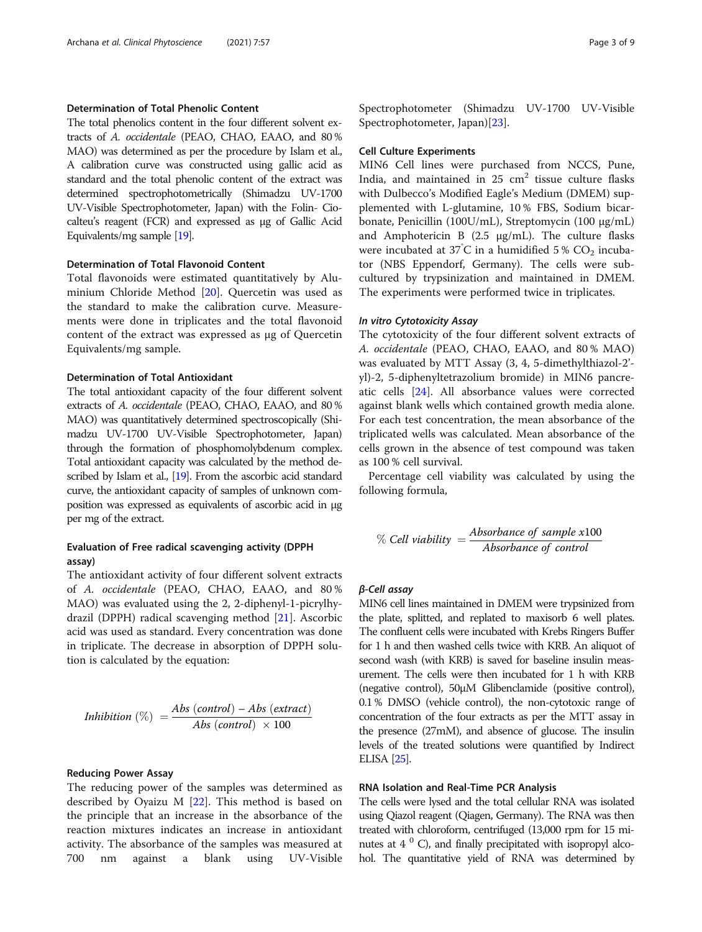## Determination of Total Phenolic Content

The total phenolics content in the four different solvent extracts of A. occidentale (PEAO, CHAO, EAAO, and 80 % MAO) was determined as per the procedure by Islam et al., A calibration curve was constructed using gallic acid as standard and the total phenolic content of the extract was determined spectrophotometrically (Shimadzu UV-1700 UV-Visible Spectrophotometer, Japan) with the Folin- Ciocalteu's reagent (FCR) and expressed as µg of Gallic Acid Equivalents/mg sample [[19\]](#page-8-0).

#### Determination of Total Flavonoid Content

Total flavonoids were estimated quantitatively by Aluminium Chloride Method [[20\]](#page-8-0). Quercetin was used as the standard to make the calibration curve. Measurements were done in triplicates and the total flavonoid content of the extract was expressed as µg of Quercetin Equivalents/mg sample.

#### Determination of Total Antioxidant

The total antioxidant capacity of the four different solvent extracts of A. occidentale (PEAO, CHAO, EAAO, and 80 % MAO) was quantitatively determined spectroscopically (Shimadzu UV-1700 UV-Visible Spectrophotometer, Japan) through the formation of phosphomolybdenum complex. Total antioxidant capacity was calculated by the method de-scribed by Islam et al., [[19\]](#page-8-0). From the ascorbic acid standard curve, the antioxidant capacity of samples of unknown composition was expressed as equivalents of ascorbic acid in µg per mg of the extract.

## Evaluation of Free radical scavenging activity (DPPH assay)

The antioxidant activity of four different solvent extracts of A. occidentale (PEAO, CHAO, EAAO, and 80 % MAO) was evaluated using the 2, 2-diphenyl-1-picrylhydrazil (DPPH) radical scavenging method [[21\]](#page-8-0). Ascorbic acid was used as standard. Every concentration was done in triplicate. The decrease in absorption of DPPH solution is calculated by the equation:

$$
Inhibition (%) = \frac{Abs (control) - Abs (extract)}{Abs (control) \times 100}
$$

#### Reducing Power Assay

The reducing power of the samples was determined as described by Oyaizu M [[22\]](#page-8-0). This method is based on the principle that an increase in the absorbance of the reaction mixtures indicates an increase in antioxidant activity. The absorbance of the samples was measured at 700 nm against a blank using UV-Visible Spectrophotometer (Shimadzu UV-1700 UV-Visible Spectrophotometer, Japan)[\[23](#page-8-0)].

#### Cell Culture Experiments

MIN6 Cell lines were purchased from NCCS, Pune, India, and maintained in  $25 \text{ cm}^2$  tissue culture flasks with Dulbecco's Modified Eagle's Medium (DMEM) supplemented with L-glutamine, 10 % FBS, Sodium bicarbonate, Penicillin (100U/mL), Streptomycin (100 µg/mL) and Amphotericin B  $(2.5 \mu g/mL)$ . The culture flasks were incubated at 37°C in a humidified 5%  $CO<sub>2</sub>$  incubator (NBS Eppendorf, Germany). The cells were subcultured by trypsinization and maintained in DMEM. The experiments were performed twice in triplicates.

#### In vitro Cytotoxicity Assay

The cytotoxicity of the four different solvent extracts of A. occidentale (PEAO, CHAO, EAAO, and 80 % MAO) was evaluated by MTT Assay (3, 4, 5-dimethylthiazol-2' yl)-2, 5-diphenyltetrazolium bromide) in MIN6 pancreatic cells [\[24](#page-8-0)]. All absorbance values were corrected against blank wells which contained growth media alone. For each test concentration, the mean absorbance of the triplicated wells was calculated. Mean absorbance of the cells grown in the absence of test compound was taken as 100 % cell survival.

Percentage cell viability was calculated by using the following formula,

% Cell viability = 
$$
\frac{Absorbance \text{ of sample x100}}{Absorbance \text{ of control}}
$$

## β-Cell assay

MIN6 cell lines maintained in DMEM were trypsinized from the plate, splitted, and replated to maxisorb 6 well plates. The confluent cells were incubated with Krebs Ringers Buffer for 1 h and then washed cells twice with KRB. An aliquot of second wash (with KRB) is saved for baseline insulin measurement. The cells were then incubated for 1 h with KRB (negative control), 50µM Glibenclamide (positive control), 0.1 % DMSO (vehicle control), the non-cytotoxic range of concentration of the four extracts as per the MTT assay in the presence (27mM), and absence of glucose. The insulin levels of the treated solutions were quantified by Indirect ELISA [\[25](#page-8-0)].

#### RNA Isolation and Real-Time PCR Analysis

The cells were lysed and the total cellular RNA was isolated using Qiazol reagent (Qiagen, Germany). The RNA was then treated with chloroform, centrifuged (13,000 rpm for 15 minutes at  $4^{\circ}$  C), and finally precipitated with isopropyl alcohol. The quantitative yield of RNA was determined by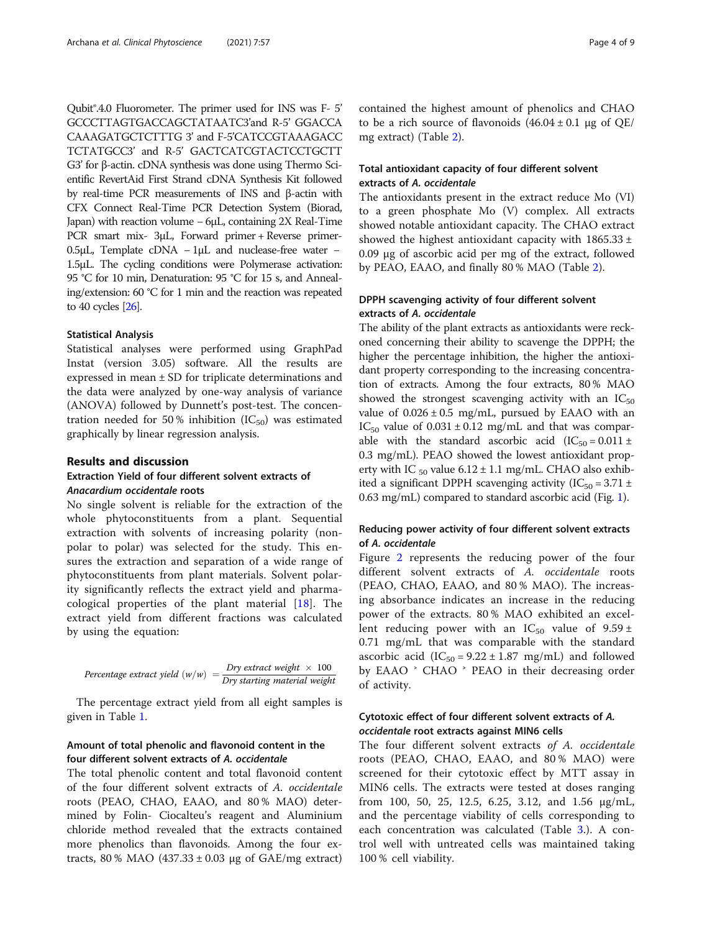Qubit®.4.0 Fluorometer. The primer used for INS was F- 5' GCCCTTAGTGACCAGCTATAATC3'and R-5' GGACCA CAAAGATGCTCTTTG 3' and F-5'CATCCGTAAAGACC TCTATGCC3' and R-5' GACTCATCGTACTCCTGCTT G3' for β-actin. cDNA synthesis was done using Thermo Scientific RevertAid First Strand cDNA Synthesis Kit followed by real-time PCR measurements of INS and β-actin with CFX Connect Real-Time PCR Detection System (Biorad, Japan) with reaction volume − 6µL, containing 2X Real-Time PCR smart mix- 3µL, Forward primer + Reverse primer-0.5µL, Template cDNA − 1µL and nuclease-free water − 1.5µL. The cycling conditions were Polymerase activation: 95 °C for 10 min, Denaturation: 95 °C for 15 s, and Annealing/extension: 60 °C for 1 min and the reaction was repeated to 40 cycles [[26\]](#page-8-0).

#### Statistical Analysis

Statistical analyses were performed using GraphPad Instat (version 3.05) software. All the results are expressed in mean ± SD for triplicate determinations and the data were analyzed by one-way analysis of variance (ANOVA) followed by Dunnett's post-test. The concentration needed for 50% inhibition  $(IC_{50})$  was estimated graphically by linear regression analysis.

#### Results and discussion

## Extraction Yield of four different solvent extracts of Anacardium occidentale roots

No single solvent is reliable for the extraction of the whole phytoconstituents from a plant. Sequential extraction with solvents of increasing polarity (nonpolar to polar) was selected for the study. This ensures the extraction and separation of a wide range of phytoconstituents from plant materials. Solvent polarity significantly reflects the extract yield and pharmacological properties of the plant material [\[18](#page-8-0)]. The extract yield from different fractions was calculated by using the equation:

Percentage extract yield 
$$
(w/w) = \frac{Dry extract weight \times 100}{Dry starting material weight}
$$

The percentage extract yield from all eight samples is given in Table [1.](#page-4-0)

## Amount of total phenolic and flavonoid content in the four different solvent extracts of A. occidentale

The total phenolic content and total flavonoid content of the four different solvent extracts of A. occidentale roots (PEAO, CHAO, EAAO, and 80 % MAO) determined by Folin- Ciocalteu's reagent and Aluminium chloride method revealed that the extracts contained more phenolics than flavonoids. Among the four extracts,  $80\%$  MAO (437.33  $\pm$  0.03 µg of GAE/mg extract)

contained the highest amount of phenolics and CHAO to be a rich source of flavonoids  $(46.04 \pm 0.1 \text{ µg of QE})$ mg extract) (Table [2\)](#page-5-0).

## Total antioxidant capacity of four different solvent extracts of A. occidentale

The antioxidants present in the extract reduce Mo (VI) to a green phosphate Mo (V) complex. All extracts showed notable antioxidant capacity. The CHAO extract showed the highest antioxidant capacity with  $1865.33 \pm$  $0.09 \mu$ g of ascorbic acid per mg of the extract, followed by PEAO, EAAO, and finally 80 % MAO (Table [2](#page-5-0)).

## DPPH scavenging activity of four different solvent extracts of A. occidentale

The ability of the plant extracts as antioxidants were reckoned concerning their ability to scavenge the DPPH; the higher the percentage inhibition, the higher the antioxidant property corresponding to the increasing concentration of extracts. Among the four extracts, 80 % MAO showed the strongest scavenging activity with an  $IC_{50}$ value of  $0.026 \pm 0.5$  mg/mL, pursued by EAAO with an IC<sub>50</sub> value of  $0.031 \pm 0.12$  mg/mL and that was comparable with the standard ascorbic acid  $(IC_{50} = 0.011 \pm 1)$ 0.3 mg/mL). PEAO showed the lowest antioxidant property with IC  $_{50}$  value 6.12 ± 1.1 mg/mL. CHAO also exhibited a significant DPPH scavenging activity ( $IC_{50} = 3.71 \pm$ 0.63 mg/mL) compared to standard ascorbic acid (Fig. [1\)](#page-5-0).

## Reducing power activity of four different solvent extracts of A. occidentale

Figure [2](#page-5-0) represents the reducing power of the four different solvent extracts of A. occidentale roots (PEAO, CHAO, EAAO, and 80 % MAO). The increasing absorbance indicates an increase in the reducing power of the extracts. 80 % MAO exhibited an excellent reducing power with an  $IC_{50}$  value of  $9.59 \pm$ 0.71 mg/mL that was comparable with the standard ascorbic acid  $(IC_{50} = 9.22 \pm 1.87 \text{ mg/mL})$  and followed by EAAO  $\degree$  CHAO  $\degree$  PEAO in their decreasing order of activity.

## Cytotoxic effect of four different solvent extracts of A. occidentale root extracts against MIN6 cells

The four different solvent extracts of A. occidentale roots (PEAO, CHAO, EAAO, and 80 % MAO) were screened for their cytotoxic effect by MTT assay in MIN6 cells. The extracts were tested at doses ranging from 100, 50, 25, 12.5, 6.25, 3.12, and 1.56 µg/mL, and the percentage viability of cells corresponding to each concentration was calculated (Table [3](#page-6-0).). A control well with untreated cells was maintained taking 100 % cell viability.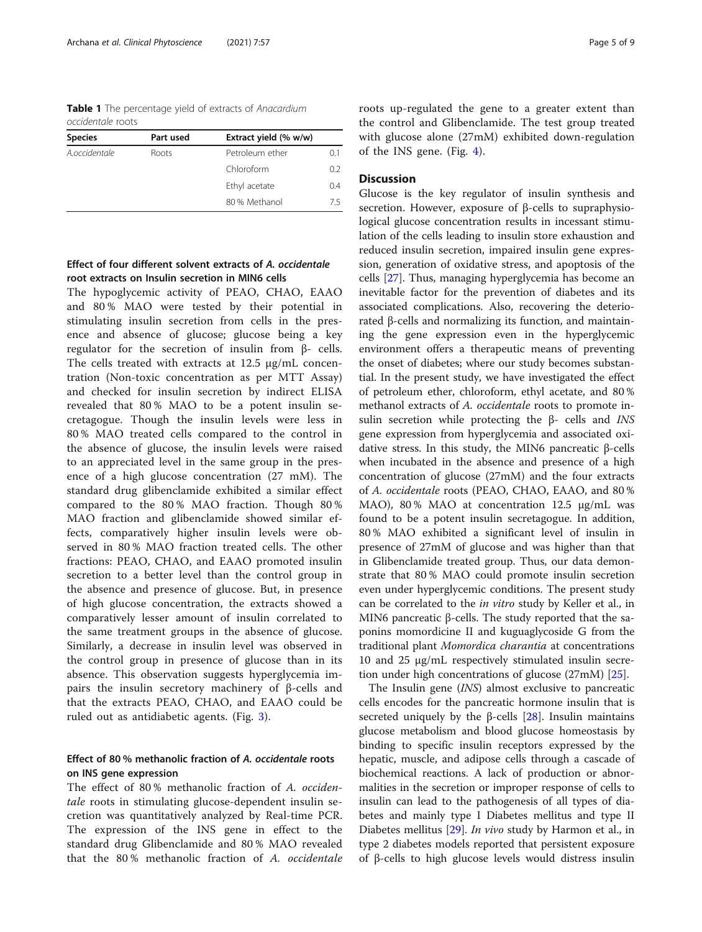<span id="page-4-0"></span>Table 1 The percentage yield of extracts of Anacardium occidentale roots

| <b>Species</b> | Part used | Extract yield (% w/w) |     |
|----------------|-----------|-----------------------|-----|
| A.occidentale  | Roots     | Petroleum ether       | 0.1 |
|                |           | Chloroform            | 0.2 |
|                |           | Ethyl acetate         | 0.4 |
|                |           | 80% Methanol          | 75  |
|                |           |                       |     |

## Effect of four different solvent extracts of A. occidentale root extracts on Insulin secretion in MIN6 cells

The hypoglycemic activity of PEAO, CHAO, EAAO and 80 % MAO were tested by their potential in stimulating insulin secretion from cells in the presence and absence of glucose; glucose being a key regulator for the secretion of insulin from β- cells. The cells treated with extracts at 12.5 µg/mL concentration (Non-toxic concentration as per MTT Assay) and checked for insulin secretion by indirect ELISA revealed that 80 % MAO to be a potent insulin secretagogue. Though the insulin levels were less in 80 % MAO treated cells compared to the control in the absence of glucose, the insulin levels were raised to an appreciated level in the same group in the presence of a high glucose concentration (27 mM). The standard drug glibenclamide exhibited a similar effect compared to the 80 % MAO fraction. Though 80 % MAO fraction and glibenclamide showed similar effects, comparatively higher insulin levels were observed in 80 % MAO fraction treated cells. The other fractions: PEAO, CHAO, and EAAO promoted insulin secretion to a better level than the control group in the absence and presence of glucose. But, in presence of high glucose concentration, the extracts showed a comparatively lesser amount of insulin correlated to the same treatment groups in the absence of glucose. Similarly, a decrease in insulin level was observed in the control group in presence of glucose than in its absence. This observation suggests hyperglycemia impairs the insulin secretory machinery of β-cells and that the extracts PEAO, CHAO, and EAAO could be ruled out as antidiabetic agents. (Fig. [3](#page-6-0)).

## Effect of 80 % methanolic fraction of A. occidentale roots on INS gene expression

The effect of 80% methanolic fraction of A. occidentale roots in stimulating glucose-dependent insulin secretion was quantitatively analyzed by Real-time PCR. The expression of the INS gene in effect to the standard drug Glibenclamide and 80 % MAO revealed that the 80 % methanolic fraction of A. occidentale roots up-regulated the gene to a greater extent than the control and Glibenclamide. The test group treated with glucose alone (27mM) exhibited down-regulation of the INS gene. (Fig. [4](#page-7-0)).

## **Discussion**

Glucose is the key regulator of insulin synthesis and secretion. However, exposure of β-cells to supraphysiological glucose concentration results in incessant stimulation of the cells leading to insulin store exhaustion and reduced insulin secretion, impaired insulin gene expression, generation of oxidative stress, and apoptosis of the cells [[27](#page-8-0)]. Thus, managing hyperglycemia has become an inevitable factor for the prevention of diabetes and its associated complications. Also, recovering the deteriorated β-cells and normalizing its function, and maintaining the gene expression even in the hyperglycemic environment offers a therapeutic means of preventing the onset of diabetes; where our study becomes substantial. In the present study, we have investigated the effect of petroleum ether, chloroform, ethyl acetate, and 80 % methanol extracts of A. occidentale roots to promote insulin secretion while protecting the β- cells and INS gene expression from hyperglycemia and associated oxidative stress. In this study, the MIN6 pancreatic β-cells when incubated in the absence and presence of a high concentration of glucose (27mM) and the four extracts of A. occidentale roots (PEAO, CHAO, EAAO, and 80 % MAO), 80% MAO at concentration 12.5 µg/mL was found to be a potent insulin secretagogue. In addition, 80 % MAO exhibited a significant level of insulin in presence of 27mM of glucose and was higher than that in Glibenclamide treated group. Thus, our data demonstrate that 80 % MAO could promote insulin secretion even under hyperglycemic conditions. The present study can be correlated to the in vitro study by Keller et al., in MIN6 pancreatic β-cells. The study reported that the saponins momordicine II and kuguaglycoside G from the traditional plant Momordica charantia at concentrations 10 and 25 µg/mL respectively stimulated insulin secretion under high concentrations of glucose (27mM) [[25\]](#page-8-0).

The Insulin gene (INS) almost exclusive to pancreatic cells encodes for the pancreatic hormone insulin that is secreted uniquely by the β-cells  $[28]$  $[28]$  $[28]$ . Insulin maintains glucose metabolism and blood glucose homeostasis by binding to specific insulin receptors expressed by the hepatic, muscle, and adipose cells through a cascade of biochemical reactions. A lack of production or abnormalities in the secretion or improper response of cells to insulin can lead to the pathogenesis of all types of diabetes and mainly type I Diabetes mellitus and type II Diabetes mellitus [[29](#page-8-0)]. *In vivo* study by Harmon et al., in type 2 diabetes models reported that persistent exposure of β-cells to high glucose levels would distress insulin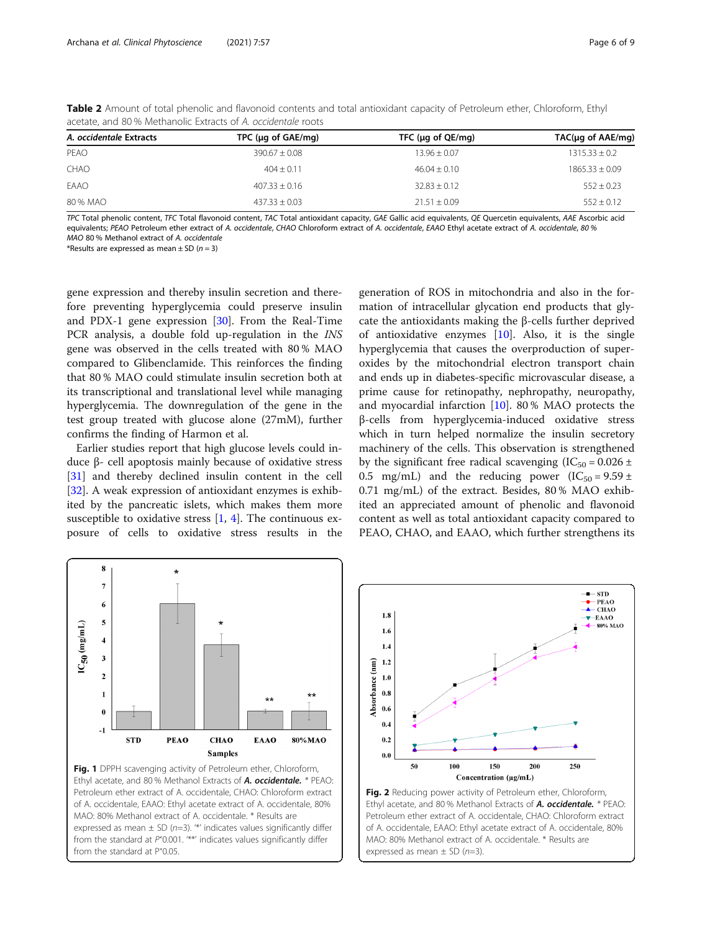| A. occidentale Extracts | TPC ( $\mu$ g of GAE/mg) | TFC ( $\mu$ g of QE/mg) | $TAC(\mu q \text{ of } AAE/mq)$ |
|-------------------------|--------------------------|-------------------------|---------------------------------|
| PEAO                    | $390.67 \pm 0.08$        | $13.96 + 0.07$          | $1315.33 + 0.2$                 |
| CHAO                    | $404 + 0.11$             | $46.04 + 0.10$          | $1865.33 + 0.09$                |
| EAAO                    | $407.33 + 0.16$          | $32.83 + 0.12$          | $552 \pm 0.23$                  |
| 80 % MAO                | $437.33 + 0.03$          | $21.51 + 0.09$          | $552 + 0.12$                    |

<span id="page-5-0"></span>Table 2 Amount of total phenolic and flavonoid contents and total antioxidant capacity of Petroleum ether, Chloroform, Ethyl acetate, and 80 % Methanolic Extracts of A. occidentale roots

TPC Total phenolic content, TFC Total flavonoid content, TAC Total antioxidant capacity, GAE Gallic acid equivalents, QE Quercetin equivalents, AAE Ascorbic acid equivalents; PEAO Petroleum ether extract of A. occidentale, CHAO Chloroform extract of A. occidentale, EAAO Ethyl acetate extract of A. occidentale, 80 % MAO 80 % Methanol extract of A. occidentale

\*Results are expressed as mean  $\pm$  SD (n = 3)

gene expression and thereby insulin secretion and therefore preventing hyperglycemia could preserve insulin and PDX-1 gene expression [[30](#page-8-0)]. From the Real-Time PCR analysis, a double fold up-regulation in the INS gene was observed in the cells treated with 80 % MAO compared to Glibenclamide. This reinforces the finding that 80 % MAO could stimulate insulin secretion both at its transcriptional and translational level while managing hyperglycemia. The downregulation of the gene in the test group treated with glucose alone (27mM), further confirms the finding of Harmon et al.

Earlier studies report that high glucose levels could induce β- cell apoptosis mainly because of oxidative stress [[31\]](#page-8-0) and thereby declined insulin content in the cell [[32\]](#page-8-0). A weak expression of antioxidant enzymes is exhibited by the pancreatic islets, which makes them more susceptible to oxidative stress  $[1, 4]$  $[1, 4]$  $[1, 4]$ . The continuous exposure of cells to oxidative stress results in the

generation of ROS in mitochondria and also in the formation of intracellular glycation end products that glycate the antioxidants making the β-cells further deprived of antioxidative enzymes  $[10]$  $[10]$ . Also, it is the single hyperglycemia that causes the overproduction of superoxides by the mitochondrial electron transport chain and ends up in diabetes-specific microvascular disease, a prime cause for retinopathy, nephropathy, neuropathy, and myocardial infarction [\[10](#page-7-0)]. 80 % MAO protects the β-cells from hyperglycemia-induced oxidative stress which in turn helped normalize the insulin secretory machinery of the cells. This observation is strengthened by the significant free radical scavenging (IC<sub>50</sub> =  $0.026 \pm$ 0.5 mg/mL) and the reducing power  $(IC_{50} = 9.59 \pm 1)$ 0.71 mg/mL) of the extract. Besides, 80 % MAO exhibited an appreciated amount of phenolic and flavonoid content as well as total antioxidant capacity compared to PEAO, CHAO, and EAAO, which further strengthens its





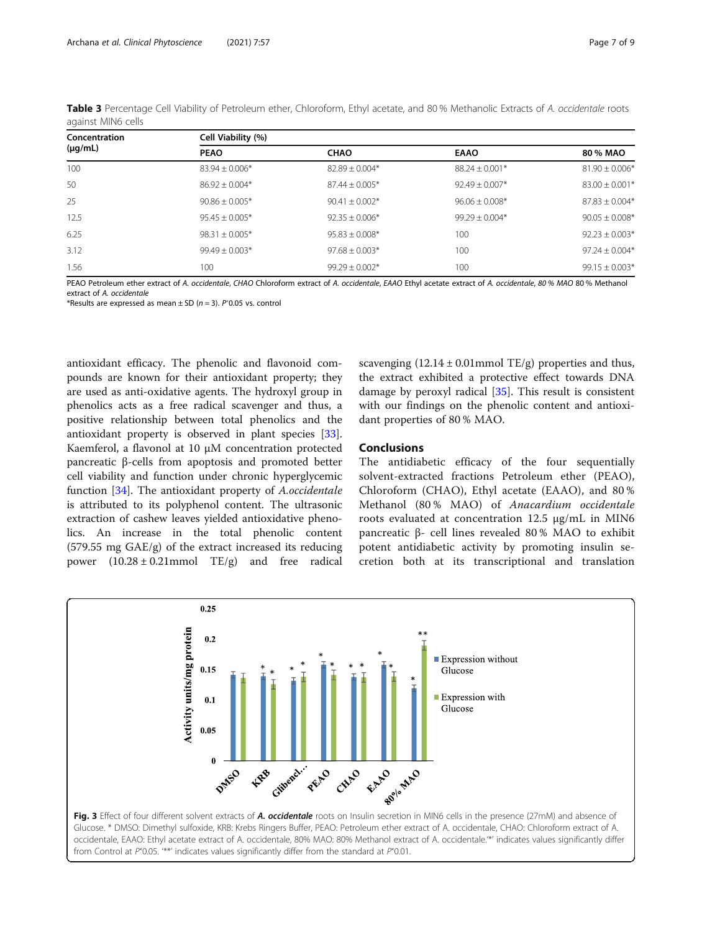| Concentration<br>$(\mu g/mL)$ | Cell Viability (%) |                    |                    |                    |  |  |  |
|-------------------------------|--------------------|--------------------|--------------------|--------------------|--|--|--|
|                               | <b>PEAO</b>        | <b>CHAO</b>        | <b>EAAO</b>        | 80 % MAO           |  |  |  |
| 100                           | $83.94 \pm 0.006*$ | $82.89 \pm 0.004*$ | $88.24 \pm 0.001*$ | $81.90 \pm 0.006*$ |  |  |  |
| 50                            | $86.92 + 0.004*$   | $87.44 + 0.005*$   | $92.49 + 0.007*$   | $83.00 + 0.001*$   |  |  |  |
| 25                            | $90.86 \pm 0.005*$ | $90.41 \pm 0.002*$ | $96.06 + 0.008*$   | $87.83 + 0.004*$   |  |  |  |
| 12.5                          | $95.45 + 0.005*$   | $92.35 + 0.006*$   | $99.29 + 0.004*$   | $90.05 + 0.008*$   |  |  |  |
| 6.25                          | $98.31 + 0.005*$   | $95.83 \pm 0.008*$ | 100                | $92.23 + 0.003*$   |  |  |  |
| 3.12                          | $99.49 + 0.003*$   | $97.68 + 0.003*$   | 100                | $97.24 + 0.004*$   |  |  |  |
| .56                           | 100                | $99.29 + 0.002*$   | 100                | $99.15 + 0.003*$   |  |  |  |

<span id="page-6-0"></span>Table 3 Percentage Cell Viability of Petroleum ether, Chloroform, Ethyl acetate, and 80% Methanolic Extracts of A. occidentale roots against MIN6 cells

PEAO Petroleum ether extract of A. occidentale, CHAO Chloroform extract of A. occidentale, EAAO Ethyl acetate extract of A. occidentale, 80% MAO 80% Methanol extract of A. occidentale

\*Results are expressed as mean  $\pm$  SD (n = 3). P<sup><</sup>0.05 vs. control

antioxidant efficacy. The phenolic and flavonoid compounds are known for their antioxidant property; they are used as anti-oxidative agents. The hydroxyl group in phenolics acts as a free radical scavenger and thus, a positive relationship between total phenolics and the antioxidant property is observed in plant species [\[33](#page-8-0)]. Kaemferol, a flavonol at 10 µM concentration protected pancreatic β-cells from apoptosis and promoted better cell viability and function under chronic hyperglycemic function [[34\]](#page-8-0). The antioxidant property of A.occidentale is attributed to its polyphenol content. The ultrasonic extraction of cashew leaves yielded antioxidative phenolics. An increase in the total phenolic content (579.55 mg GAE/g) of the extract increased its reducing power  $(10.28 \pm 0.21$ mmol TE/g) and free radical

scavenging  $(12.14 \pm 0.01$  mmol TE/g) properties and thus, the extract exhibited a protective effect towards DNA damage by peroxyl radical [\[35](#page-8-0)]. This result is consistent with our findings on the phenolic content and antioxidant properties of 80 % MAO.

## Conclusions

The antidiabetic efficacy of the four sequentially solvent-extracted fractions Petroleum ether (PEAO), Chloroform (CHAO), Ethyl acetate (EAAO), and 80 % Methanol (80 % MAO) of Anacardium occidentale roots evaluated at concentration 12.5 µg/mL in MIN6 pancreatic β- cell lines revealed 80 % MAO to exhibit potent antidiabetic activity by promoting insulin secretion both at its transcriptional and translation

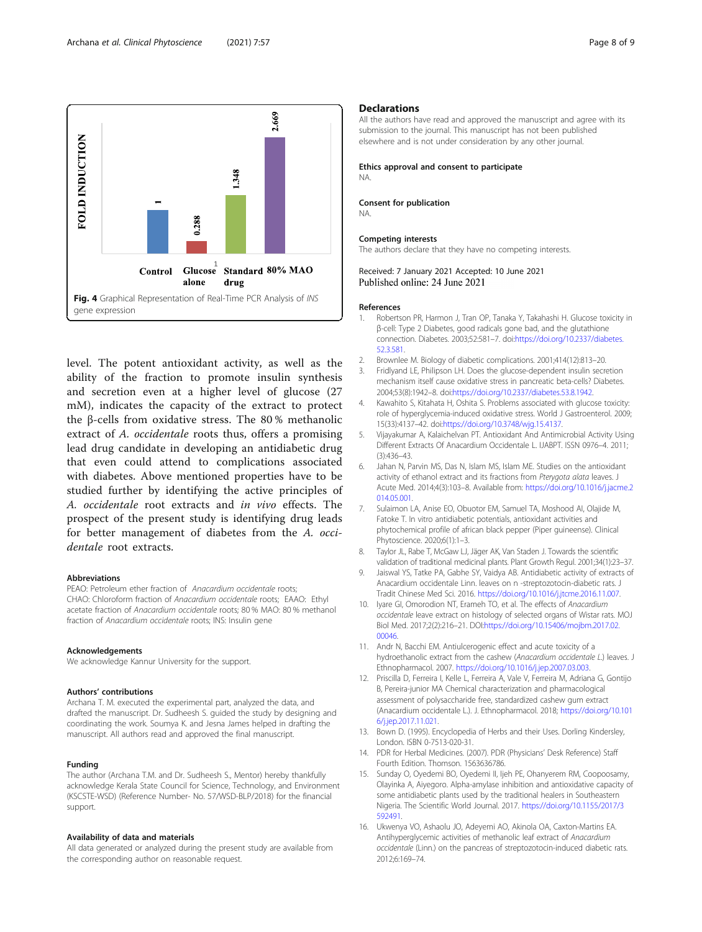<span id="page-7-0"></span>

level. The potent antioxidant activity, as well as the ability of the fraction to promote insulin synthesis and secretion even at a higher level of glucose (27 mM), indicates the capacity of the extract to protect the β-cells from oxidative stress. The 80 % methanolic extract of A. *occidentale* roots thus, offers a promising lead drug candidate in developing an antidiabetic drug that even could attend to complications associated with diabetes. Above mentioned properties have to be studied further by identifying the active principles of A. occidentale root extracts and in vivo effects. The prospect of the present study is identifying drug leads for better management of diabetes from the A. occidentale root extracts.

#### Abbreviations

PEAO: Petroleum ether fraction of Anacardium occidentale roots; CHAO: Chloroform fraction of Anacardium occidentale roots; EAAO: Ethyl acetate fraction of Anacardium occidentale roots; 80 % MAO: 80 % methanol fraction of Anacardium occidentale roots; INS: Insulin gene

#### Acknowledgements

We acknowledge Kannur University for the support.

#### Authors' contributions

Archana T. M. executed the experimental part, analyzed the data, and drafted the manuscript. Dr. Sudheesh S. guided the study by designing and coordinating the work. Soumya K. and Jesna James helped in drafting the manuscript. All authors read and approved the final manuscript.

#### Funding

The author (Archana T.M. and Dr. Sudheesh S., Mentor) hereby thankfully acknowledge Kerala State Council for Science, Technology, and Environment (KSCSTE-WSD) (Reference Number- No. 57/WSD-BLP/2018) for the financial support.

#### Availability of data and materials

All data generated or analyzed during the present study are available from the corresponding author on reasonable request.

#### **Declarations**

All the authors have read and approved the manuscript and agree with its submission to the journal. This manuscript has not been published elsewhere and is not under consideration by any other journal.

Ethics approval and consent to participate NA.

#### Consent for publication

NA.

#### Competing interests

The authors declare that they have no competing interests.

Received: 7 January 2021 Accepted: 10 June 2021 Published online: 24 June 2021

#### References

- 1. Robertson PR, Harmon J, Tran OP, Tanaka Y, Takahashi H. Glucose toxicity in β-cell: Type 2 Diabetes, good radicals gone bad, and the glutathione connection. Diabetes. 2003;52:581–7. doi:[https://doi.org/10.2337/diabetes.](https://doi.org/10.2337/diabetes.52.3.581) [52.3.581.](https://doi.org/10.2337/diabetes.52.3.581)
- 2. Brownlee M. Biology of diabetic complications. 2001;414(12):813–20.
- 3. Fridlyand LE, Philipson LH. Does the glucose-dependent insulin secretion mechanism itself cause oxidative stress in pancreatic beta-cells? Diabetes. 2004;53(8):1942–8. doi:[https://doi.org/10.2337/diabetes.53.8.1942.](https://doi.org/10.2337/diabetes.53.8.1942)
- 4. Kawahito S, Kitahata H, Oshita S. Problems associated with glucose toxicity: role of hyperglycemia-induced oxidative stress. World J Gastroenterol. 2009; 15(33):4137–42. doi:<https://doi.org/10.3748/wjg.15.4137>.
- 5. Vijayakumar A, Kalaichelvan PT. Antioxidant And Antimicrobial Activity Using Different Extracts Of Anacardium Occidentale L. IJABPT. ISSN 0976–4. 2011; (3):436–43.
- Jahan N, Parvin MS, Das N, Islam MS, Islam ME. Studies on the antioxidant activity of ethanol extract and its fractions from Pterygota alata leaves. J Acute Med. 2014;4(3):103–8. Available from: [https://doi.org/10.1016/j.jacme.2](https://doi.org/10.1016/j.jacme.2014.05.001) [014.05.001](https://doi.org/10.1016/j.jacme.2014.05.001).
- 7. Sulaimon LA, Anise EO, Obuotor EM, Samuel TA, Moshood AI, Olajide M, Fatoke T. In vitro antidiabetic potentials, antioxidant activities and phytochemical profile of african black pepper (Piper guineense). Clinical Phytoscience. 2020;6(1):1–3.
- 8. Taylor JL, Rabe T, McGaw LJ, Jäger AK, Van Staden J. Towards the scientific validation of traditional medicinal plants. Plant Growth Regul. 2001;34(1):23–37.
- 9. Jaiswal YS, Tatke PA, Gabhe SY, Vaidya AB. Antidiabetic activity of extracts of Anacardium occidentale Linn. leaves on n -streptozotocin-diabetic rats. J Tradit Chinese Med Sci. 2016. [https://doi.org/10.1016/j.jtcme.2016.11.007.](https://doi.org/10.1016/j.jtcme.2016.11.007)
- 10. Iyare GI, Omorodion NT, Erameh TO, et al. The effects of Anacardium occidentale leave extract on histology of selected organs of Wistar rats. MOJ Biol Med. 2017;2(2):216–21. DOI:[https://doi.org/10.15406/mojbm.2017.02.](https://doi.org/10.15406/mojbm.2017.02.00046) [00046.](https://doi.org/10.15406/mojbm.2017.02.00046)
- 11. Andr N, Bacchi EM. Antiulcerogenic effect and acute toxicity of a hydroethanolic extract from the cashew (Anacardium occidentale L.) leaves. J Ethnopharmacol. 2007. [https://doi.org/10.1016/j.jep.2007.03.003.](https://doi.org/10.1016/j.jep.2007.03.003)
- 12. Priscilla D, Ferreira I, Kelle L, Ferreira A, Vale V, Ferreira M, Adriana G, Gontijo B, Pereira-junior MA Chemical characterization and pharmacological assessment of polysaccharide free, standardized cashew gum extract (Anacardium occidentale L.). J. Ethnopharmacol. 2018; [https://doi.org/10.101](https://doi.org/10.1016/j.jep.2017.11.021) [6/j.jep.2017.11.021](https://doi.org/10.1016/j.jep.2017.11.021).
- 13. Bown D. (1995). Encyclopedia of Herbs and their Uses. Dorling Kindersley, London. ISBN 0-7513-020-31.
- 14. PDR for Herbal Medicines. (2007). PDR (Physicians' Desk Reference) Staff Fourth Edition. Thomson. 1563636786.
- 15. Sunday O, Oyedemi BO, Oyedemi II, Ijeh PE, Ohanyerem RM, Coopoosamy, Olayinka A, Aiyegoro. Alpha-amylase inhibition and antioxidative capacity of some antidiabetic plants used by the traditional healers in Southeastern Nigeria. The Scientific World Journal. 2017. [https://doi.org/10.1155/2017/3](https://doi.org/10.1155/2017/3592491) [592491](https://doi.org/10.1155/2017/3592491).
- 16. Ukwenya VO, Ashaolu JO, Adeyemi AO, Akinola OA, Caxton-Martins EA. Antihyperglycemic activities of methanolic leaf extract of Anacardium occidentale (Linn.) on the pancreas of streptozotocin-induced diabetic rats. 2012;6:169–74.